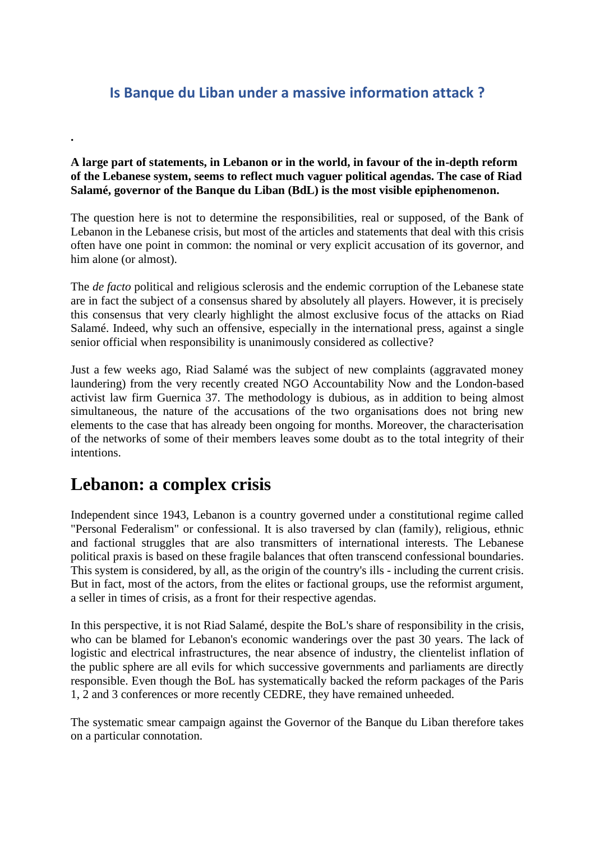#### **Is Banque du Liban under a massive information attack ?**

#### **A large part of statements, in Lebanon or in the world, in favour of the in-depth reform of the Lebanese system, seems to reflect much vaguer political agendas. The case of Riad Salamé, governor of the Banque du Liban (BdL) is the most visible epiphenomenon.**

The question here is not to determine the responsibilities, real or supposed, of the Bank of Lebanon in the Lebanese crisis, but most of the articles and statements that deal with this crisis often have one point in common: the nominal or very explicit accusation of its governor, and him alone (or almost).

The *de facto* political and religious sclerosis and the endemic corruption of the Lebanese state are in fact the subject of a consensus shared by absolutely all players. However, it is precisely this consensus that very clearly highlight the almost exclusive focus of the attacks on Riad Salamé. Indeed, why such an offensive, especially in the international press, against a single senior official when responsibility is unanimously considered as collective?

Just a few weeks ago, Riad Salamé was the subject of new complaints (aggravated money laundering) from the very recently created NGO Accountability Now and the London-based activist law firm Guernica 37. The methodology is dubious, as in addition to being almost simultaneous, the nature of the accusations of the two organisations does not bring new elements to the case that has already been ongoing for months. Moreover, the characterisation of the networks of some of their members leaves some doubt as to the total integrity of their intentions.

#### **Lebanon: a complex crisis**

**.** 

Independent since 1943, Lebanon is a country governed under a constitutional regime called "Personal Federalism" or confessional. It is also traversed by clan (family), religious, ethnic and factional struggles that are also transmitters of international interests. The Lebanese political praxis is based on these fragile balances that often transcend confessional boundaries. This system is considered, by all, as the origin of the country's ills - including the current crisis. But in fact, most of the actors, from the elites or factional groups, use the reformist argument, a seller in times of crisis, as a front for their respective agendas.

In this perspective, it is not Riad Salamé, despite the BoL's share of responsibility in the crisis, who can be blamed for Lebanon's economic wanderings over the past 30 years. The lack of logistic and electrical infrastructures, the near absence of industry, the clientelist inflation of the public sphere are all evils for which successive governments and parliaments are directly responsible. Even though the BoL has systematically backed the reform packages of the Paris 1, 2 and 3 conferences or more recently CEDRE, they have remained unheeded.

The systematic smear campaign against the Governor of the Banque du Liban therefore takes on a particular connotation.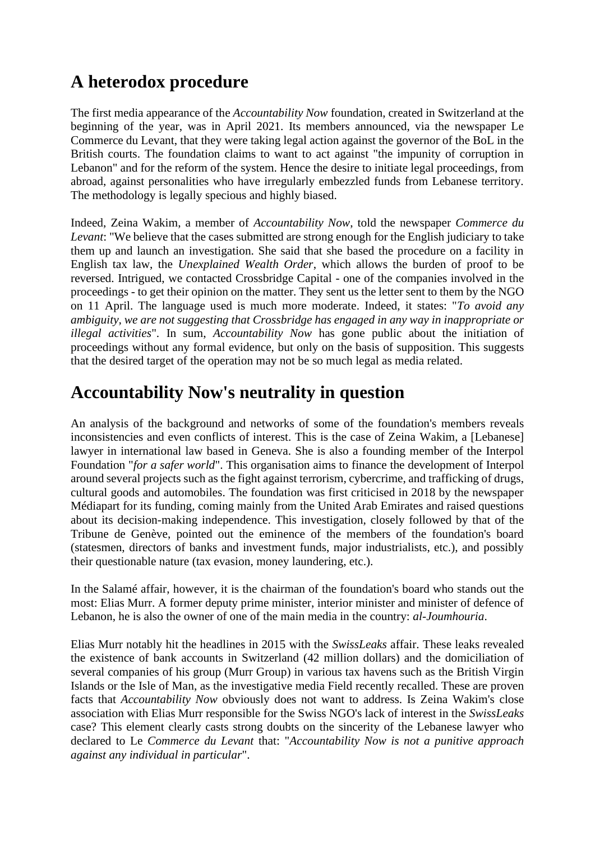## **A heterodox procedure**

The first media appearance of the *Accountability Now* foundation, created in Switzerland at the beginning of the year, was in April 2021. Its members announced, via the newspaper Le Commerce du Levant, that they were taking legal action against the governor of the BoL in the British courts. The foundation claims to want to act against "the impunity of corruption in Lebanon" and for the reform of the system. Hence the desire to initiate legal proceedings, from abroad, against personalities who have irregularly embezzled funds from Lebanese territory. The methodology is legally specious and highly biased.

Indeed, Zeina Wakim, a member of *Accountability Now*, told the newspaper *Commerce du Levant*: "We believe that the cases submitted are strong enough for the English judiciary to take them up and launch an investigation. She said that she based the procedure on a facility in English tax law, the *Unexplained Wealth Order*, which allows the burden of proof to be reversed. Intrigued, we contacted Crossbridge Capital - one of the companies involved in the proceedings - to get their opinion on the matter. They sent us the letter sent to them by the NGO on 11 April. The language used is much more moderate. Indeed, it states: "*To avoid any ambiguity, we are not suggesting that Crossbridge has engaged in any way in inappropriate or illegal activities*". In sum, *Accountability Now* has gone public about the initiation of proceedings without any formal evidence, but only on the basis of supposition. This suggests that the desired target of the operation may not be so much legal as media related.

### **Accountability Now's neutrality in question**

An analysis of the background and networks of some of the foundation's members reveals inconsistencies and even conflicts of interest. This is the case of Zeina Wakim, a [Lebanese] lawyer in international law based in Geneva. She is also a founding member of the Interpol Foundation "*for a safer world*". This organisation aims to finance the development of Interpol around several projects such as the fight against terrorism, cybercrime, and trafficking of drugs, cultural goods and automobiles. The foundation was first criticised in 2018 by the newspaper Médiapart for its funding, coming mainly from the United Arab Emirates and raised questions about its decision-making independence. This investigation, closely followed by that of the Tribune de Genève, pointed out the eminence of the members of the foundation's board (statesmen, directors of banks and investment funds, major industrialists, etc.), and possibly their questionable nature (tax evasion, money laundering, etc.).

In the Salamé affair, however, it is the chairman of the foundation's board who stands out the most: Elias Murr. A former deputy prime minister, interior minister and minister of defence of Lebanon, he is also the owner of one of the main media in the country: *al-Joumhouria*.

Elias Murr notably hit the headlines in 2015 with the *SwissLeaks* affair. These leaks revealed the existence of bank accounts in Switzerland (42 million dollars) and the domiciliation of several companies of his group (Murr Group) in various tax havens such as the British Virgin Islands or the Isle of Man, as the investigative media Field recently recalled. These are proven facts that *Accountability Now* obviously does not want to address. Is Zeina Wakim's close association with Elias Murr responsible for the Swiss NGO's lack of interest in the *SwissLeaks* case? This element clearly casts strong doubts on the sincerity of the Lebanese lawyer who declared to Le *Commerce du Levant* that: "*Accountability Now is not a punitive approach against any individual in particular*".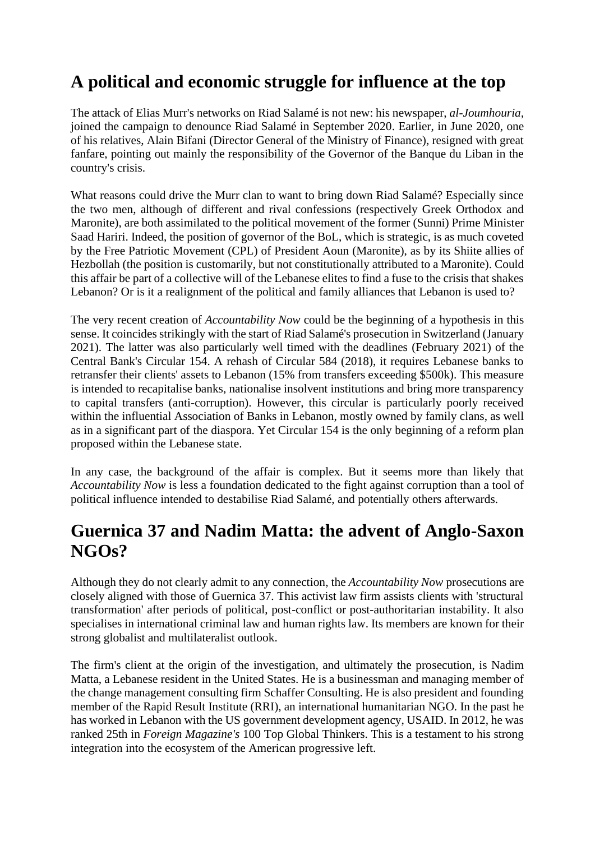# **A political and economic struggle for influence at the top**

The attack of Elias Murr's networks on Riad Salamé is not new: his newspaper, *al-Joumhouria,* joined the campaign to denounce Riad Salamé in September 2020. Earlier, in June 2020, one of his relatives, Alain Bifani (Director General of the Ministry of Finance), resigned with great fanfare, pointing out mainly the responsibility of the Governor of the Banque du Liban in the country's crisis.

What reasons could drive the Murr clan to want to bring down Riad Salamé? Especially since the two men, although of different and rival confessions (respectively Greek Orthodox and Maronite), are both assimilated to the political movement of the former (Sunni) Prime Minister Saad Hariri. Indeed, the position of governor of the BoL, which is strategic, is as much coveted by the Free Patriotic Movement (CPL) of President Aoun (Maronite), as by its Shiite allies of Hezbollah (the position is customarily, but not constitutionally attributed to a Maronite). Could this affair be part of a collective will of the Lebanese elites to find a fuse to the crisis that shakes Lebanon? Or is it a realignment of the political and family alliances that Lebanon is used to?

The very recent creation of *Accountability Now* could be the beginning of a hypothesis in this sense. It coincides strikingly with the start of Riad Salamé's prosecution in Switzerland (January 2021). The latter was also particularly well timed with the deadlines (February 2021) of the Central Bank's Circular 154. A rehash of Circular 584 (2018), it requires Lebanese banks to retransfer their clients' assets to Lebanon (15% from transfers exceeding \$500k). This measure is intended to recapitalise banks, nationalise insolvent institutions and bring more transparency to capital transfers (anti-corruption). However, this circular is particularly poorly received within the influential Association of Banks in Lebanon, mostly owned by family clans, as well as in a significant part of the diaspora. Yet Circular 154 is the only beginning of a reform plan proposed within the Lebanese state.

In any case, the background of the affair is complex. But it seems more than likely that *Accountability Now* is less a foundation dedicated to the fight against corruption than a tool of political influence intended to destabilise Riad Salamé, and potentially others afterwards.

### **Guernica 37 and Nadim Matta: the advent of Anglo-Saxon NGOs?**

Although they do not clearly admit to any connection, the *Accountability Now* prosecutions are closely aligned with those of Guernica 37. This activist law firm assists clients with 'structural transformation' after periods of political, post-conflict or post-authoritarian instability. It also specialises in international criminal law and human rights law. Its members are known for their strong globalist and multilateralist outlook.

The firm's client at the origin of the investigation, and ultimately the prosecution, is Nadim Matta, a Lebanese resident in the United States. He is a businessman and managing member of the change management consulting firm Schaffer Consulting. He is also president and founding member of the Rapid Result Institute (RRI), an international humanitarian NGO. In the past he has worked in Lebanon with the US government development agency, USAID. In 2012, he was ranked 25th in *Foreign Magazine's* 100 Top Global Thinkers. This is a testament to his strong integration into the ecosystem of the American progressive left.